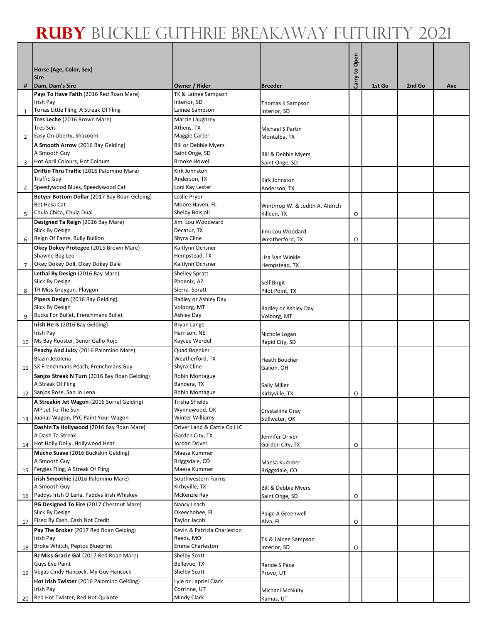## **Ruby** Buckle Guthrie Breakaway Futurity 2021

|                |                                                                                     |                                          |                                       | Carry to Open |        |        |     |
|----------------|-------------------------------------------------------------------------------------|------------------------------------------|---------------------------------------|---------------|--------|--------|-----|
|                | Horse (Age, Color, Sex)<br><b>Sire</b>                                              |                                          |                                       |               |        |        |     |
| #              | Dam, Dam's Sire                                                                     | Owner / Rider                            | <b>Breeder</b>                        |               | 1st Go | 2nd Go | Ave |
|                | Pays To Have Faith (2016 Red Roan Mare)                                             | TK & Lainee Sampson                      |                                       |               |        |        |     |
|                | Irish Pay                                                                           | Interior, SD                             | Thomas K Sampson                      |               |        |        |     |
| 1              | Torias Little Fling, A Streak Of Fling<br>Tres Leche (2016 Brown Mare)              | Lainee Sampson<br>Marcie Laughrey        | Interior, SD                          |               |        |        |     |
|                | <b>Tres Seis</b>                                                                    | Athens, TX                               | Michael S Partin                      |               |        |        |     |
| $\overline{2}$ | Easy On Liberty, Shazoom                                                            | Maggie Carter                            | Montalba, TX                          |               |        |        |     |
|                | A Smooth Arrow (2016 Bay Gelding)                                                   | <b>Bill or Debbie Myers</b>              |                                       |               |        |        |     |
| 3              | A Smooth Guy<br>Hot April Colours, Hot Colours                                      | Saint Onge, SD<br><b>Brooke Howell</b>   | Bill & Debbie Myers<br>Saint Onge, SD |               |        |        |     |
|                | Driftin Thru Traffic (2016 Palomino Mare)                                           | Kirk Johnston                            |                                       |               |        |        |     |
|                | <b>Traffic Guy</b>                                                                  | Anderson, TX                             | Kirk Johnston                         |               |        |        |     |
| 4              | Speedywood Blues, Speedywood Cat                                                    | Loni Kay Lester                          | Anderson, TX                          |               |        |        |     |
|                | Betyer Bottom Dollar (2017 Bay Roan Gelding)<br>Bet Hesa Cat                        | Leslie Pryor<br>Moore Haven, FL          | Winthrop W. & Judith A. Aldrich       |               |        |        |     |
| 5              | Chula Chica, Chula Dual                                                             | Shelby Boisjoli                          | Killeen, TX                           | O             |        |        |     |
|                | Designed Ta Reign (2016 Bay Mare)                                                   | Jimi Lou Woodward                        |                                       |               |        |        |     |
|                | Slick By Design                                                                     | Decatur, TX                              | Jimi Lou Woodard                      |               |        |        |     |
| 6              | Reign Of Fame, Bully Bullion<br>Okey Dokey Protegee (2015 Brown Mare)               | Shyra Cline<br>Kaitlynn Ochsner          | Weatherford, TX                       | O             |        |        |     |
|                | Shawne Bug Leo                                                                      | Hempstead, TX                            | Lisa Van Winkle                       |               |        |        |     |
| $\overline{7}$ | Okey Dokey Doll, Okey Dokey Dale                                                    | Kaitlynn Ochsner                         | Hempstead, TX                         |               |        |        |     |
|                | Lethal By Design (2016 Bay Mare)                                                    | <b>Shelley Spratt</b>                    |                                       |               |        |        |     |
| 8              | Slick By Design<br>TR Miss Graygun, Playgun                                         | Phoenix, AZ<br>Sierra Spratt             | <b>Self Birgit</b><br>Pilot Point, TX |               |        |        |     |
|                | Pipers Design (2016 Bay Gelding)                                                    | Radley or Ashley Day                     |                                       |               |        |        |     |
|                | Slick By Design                                                                     | Volborg, MT                              | Radley or Ashley Day                  |               |        |        |     |
| 9              | Bucks For Bullet, Frenchmans Bullet                                                 | Ashley Day                               | Volborg, MT                           |               |        |        |     |
|                | Irish He Is (2016 Bay Gelding)<br>Irish Pay                                         | Bryan Lange<br>Harrison, NE              |                                       |               |        |        |     |
| 10             | Ms Bay Rooster, Senor Gallo Rojo                                                    | Kaycee Werdel                            | Nichole Logan<br>Rapid City, SD       |               |        |        |     |
|                | Peachy And Juicy (2016 Palomino Mare)                                               | Quad Boenker                             |                                       |               |        |        |     |
|                | Blazin Jetolena                                                                     | Weatherford, TX                          | <b>Heath Boucher</b>                  |               |        |        |     |
| 11             | SX Frenchmans Peach, Frenchmans Guy<br>Sanjos Streak N Turn (2016 Bay Roan Gelding) | Shyra Cline<br>Robin Montague            | Galion, OH                            |               |        |        |     |
|                | A Streak Of Fling                                                                   | Bandera, TX                              | <b>Sally Miller</b>                   |               |        |        |     |
|                | 12 Sanjos Rose, San Jo Lena                                                         | Robin Montague                           | Kirbyville, TX                        | O             |        |        |     |
|                | A Streakin Jet Wagon (2016 Sorrel Gelding)                                          | <b>Trisha Shields</b>                    |                                       |               |        |        |     |
| 13             | MP Jet To The Sun<br>Juanas Wagon, PYC Paint Your Wagon                             | Wynnewood, OK<br>Winter Williams         | Crystalline Gray<br>Stillwater, OK    |               |        |        |     |
|                | Dashin Ta Hollywood (2016 Bay Roan Mare)                                            | Driver Land & Cattle Co LLC              |                                       |               |        |        |     |
|                | A Dash Ta Streak                                                                    | Garden City, TX                          | Jennifer Driver                       |               |        |        |     |
| 14             | Hot Holly Dolly, Hollywood Heat<br>Mucho Suave (2016 Buckskin Gelding)              | Jordan Driver                            | Garden City, TX                       | O             |        |        |     |
|                | A Smooth Guy                                                                        | Maesa Kummer<br>Briggsdale, CO           | Maesa Kummer                          |               |        |        |     |
| 15             | Fergies Fling, A Streak Of Fling                                                    | Maesa Kummer                             | Briggsdale, CO                        |               |        |        |     |
|                | Irish Smoothie (2016 Palomino Mare)                                                 | Southwestern Farms                       |                                       |               |        |        |     |
|                | A Smooth Guy<br>Paddys Irish O Lena, Paddys Irish Whiskey                           | Kirbyville, TX<br>McKenzie Ray           | Bill & Debbie Myers                   |               |        |        |     |
| 16             | PG Designed To Fire (2017 Chestnut Mare)                                            | Nancy Leach                              | Saint Onge, SD                        | O             |        |        |     |
|                | Slick By Design                                                                     | Okeechobee, FL                           | Paige A Greenwell                     |               |        |        |     |
| 17             | Fired By Cash, Cash Not Credit                                                      | Taylor Jacob                             | Alva, FL                              | O             |        |        |     |
|                | Pay The Broker (2017 Red Roan Gelding)<br>Irish Pay                                 | Kevin & Patricia Charleston<br>Reeds, MO |                                       |               |        |        |     |
| 18             | Broke Whitch, Peptos Blueprint                                                      | Emma Charleston                          | TK & Lainee Sampson<br>Interior, SD   | O             |        |        |     |
|                | RJ Miss Gracie Gal (2017 Red Roan Mare)                                             | Shelby Scott                             |                                       |               |        |        |     |
|                | Guys Eye Paint                                                                      | Bellevue, TX                             | Rande S Pace                          |               |        |        |     |
| 19             | Vegas Cindy Hancock, My Guy Hancock<br>Hot Irish Twister (2016 Palomino Gelding)    | Shelby Scott<br>Lyle or Lapriel Clark    | Provo, UT                             |               |        |        |     |
|                | Irish Pay                                                                           | Corrinne, UT                             | Michael McNulty                       |               |        |        |     |
| 20             | Red Hot Twister, Red Hot Quixote                                                    | Mindy Clark                              | Kamas, UT                             |               |        |        |     |